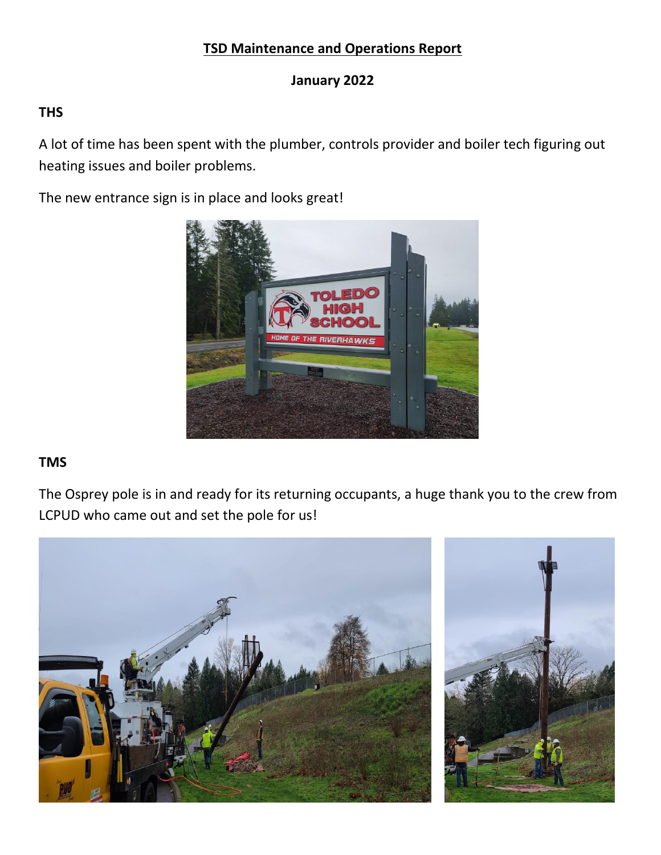# **TSD Maintenance and Operations Report**

### **January 2022**

### **THS**

A lot of time has been spent with the plumber, controls provider and boiler tech figuring out heating issues and boiler problems.

The new entrance sign is in place and looks great!



### **TMS**

The Osprey pole is in and ready for its returning occupants, a huge thank you to the crew from LCPUD who came out and set the pole for us!